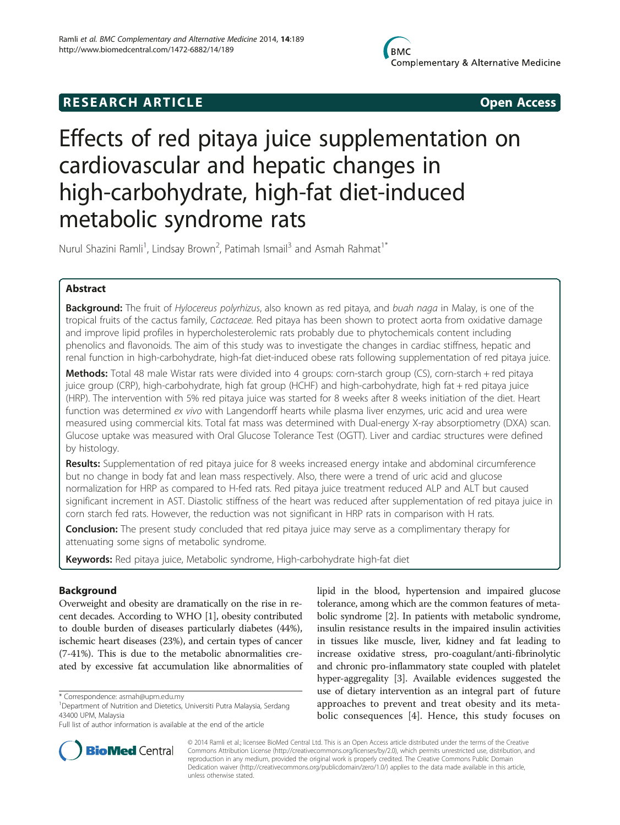# **RESEARCH ARTICLE Example 2014 Open Access**

# Effects of red pitaya juice supplementation on cardiovascular and hepatic changes in high-carbohydrate, high-fat diet-induced metabolic syndrome rats

Nurul Shazini Ramli<sup>1</sup>, Lindsay Brown<sup>2</sup>, Patimah Ismail<sup>3</sup> and Asmah Rahmat<sup>1\*</sup>

# Abstract

**Background:** The fruit of *Hylocereus polyrhizus*, also known as red pitaya, and buah naga in Malay, is one of the tropical fruits of the cactus family, Cactaceae. Red pitaya has been shown to protect aorta from oxidative damage and improve lipid profiles in hypercholesterolemic rats probably due to phytochemicals content including phenolics and flavonoids. The aim of this study was to investigate the changes in cardiac stiffness, hepatic and renal function in high-carbohydrate, high-fat diet-induced obese rats following supplementation of red pitaya juice.

Methods: Total 48 male Wistar rats were divided into 4 groups: corn-starch group (CS), corn-starch + red pitaya juice group (CRP), high-carbohydrate, high fat group (HCHF) and high-carbohydrate, high fat + red pitaya juice (HRP). The intervention with 5% red pitaya juice was started for 8 weeks after 8 weeks initiation of the diet. Heart function was determined ex vivo with Langendorff hearts while plasma liver enzymes, uric acid and urea were measured using commercial kits. Total fat mass was determined with Dual-energy X-ray absorptiometry (DXA) scan. Glucose uptake was measured with Oral Glucose Tolerance Test (OGTT). Liver and cardiac structures were defined by histology.

**Results:** Supplementation of red pitaya juice for 8 weeks increased energy intake and abdominal circumference but no change in body fat and lean mass respectively. Also, there were a trend of uric acid and glucose normalization for HRP as compared to H-fed rats. Red pitaya juice treatment reduced ALP and ALT but caused significant increment in AST. Diastolic stiffness of the heart was reduced after supplementation of red pitaya juice in corn starch fed rats. However, the reduction was not significant in HRP rats in comparison with H rats.

**Conclusion:** The present study concluded that red pitaya juice may serve as a complimentary therapy for attenuating some signs of metabolic syndrome.

Keywords: Red pitaya juice, Metabolic syndrome, High-carbohydrate high-fat diet

# Background

Overweight and obesity are dramatically on the rise in recent decades. According to WHO [[1\]](#page-8-0), obesity contributed to double burden of diseases particularly diabetes (44%), ischemic heart diseases (23%), and certain types of cancer (7-41%). This is due to the metabolic abnormalities created by excessive fat accumulation like abnormalities of lipid in the blood, hypertension and impaired glucose tolerance, among which are the common features of metabolic syndrome [\[2](#page-8-0)]. In patients with metabolic syndrome, insulin resistance results in the impaired insulin activities in tissues like muscle, liver, kidney and fat leading to increase oxidative stress, pro-coagulant/anti-fibrinolytic and chronic pro-inflammatory state coupled with platelet hyper-aggregality [[3](#page-8-0)]. Available evidences suggested the use of dietary intervention as an integral part of future approaches to prevent and treat obesity and its metabolic consequences [\[4](#page-8-0)]. Hence, this study focuses on



© 2014 Ramli et al.; licensee BioMed Central Ltd. This is an Open Access article distributed under the terms of the Creative Commons Attribution License [\(http://creativecommons.org/licenses/by/2.0\)](http://creativecommons.org/licenses/by/2.0), which permits unrestricted use, distribution, and reproduction in any medium, provided the original work is properly credited. The Creative Commons Public Domain Dedication waiver [\(http://creativecommons.org/publicdomain/zero/1.0/](http://creativecommons.org/publicdomain/zero/1.0/)) applies to the data made available in this article, unless otherwise stated.

<sup>\*</sup> Correspondence: [asmah@upm.edu.my](mailto:asmah@upm.edu.my) <sup>1</sup>

<sup>&</sup>lt;sup>1</sup>Department of Nutrition and Dietetics, Universiti Putra Malaysia, Serdang 43400 UPM, Malaysia

Full list of author information is available at the end of the article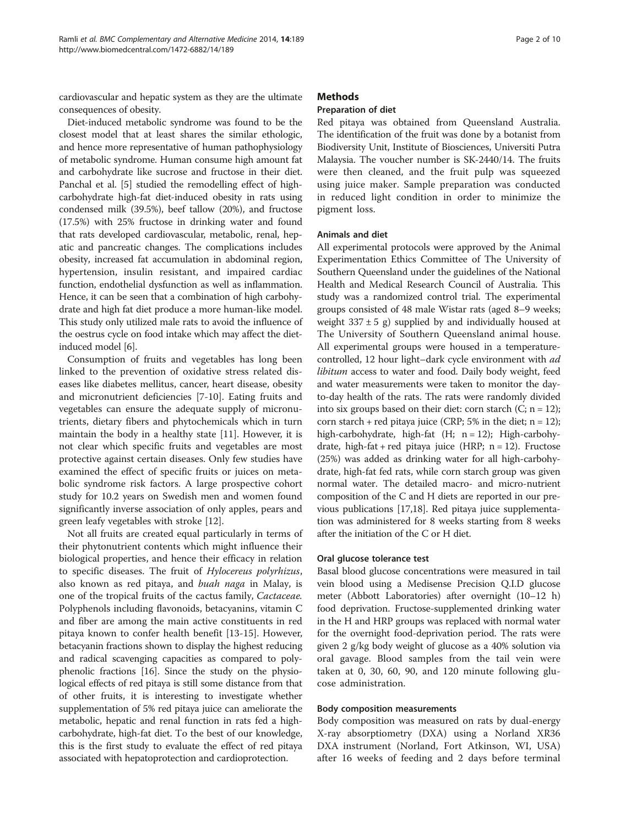cardiovascular and hepatic system as they are the ultimate consequences of obesity.

Diet-induced metabolic syndrome was found to be the closest model that at least shares the similar ethologic, and hence more representative of human pathophysiology of metabolic syndrome. Human consume high amount fat and carbohydrate like sucrose and fructose in their diet. Panchal et al. [\[5\]](#page-8-0) studied the remodelling effect of highcarbohydrate high-fat diet-induced obesity in rats using condensed milk (39.5%), beef tallow (20%), and fructose (17.5%) with 25% fructose in drinking water and found that rats developed cardiovascular, metabolic, renal, hepatic and pancreatic changes. The complications includes obesity, increased fat accumulation in abdominal region, hypertension, insulin resistant, and impaired cardiac function, endothelial dysfunction as well as inflammation. Hence, it can be seen that a combination of high carbohydrate and high fat diet produce a more human-like model. This study only utilized male rats to avoid the influence of the oestrus cycle on food intake which may affect the dietinduced model [\[6\]](#page-8-0).

Consumption of fruits and vegetables has long been linked to the prevention of oxidative stress related diseases like diabetes mellitus, cancer, heart disease, obesity and micronutrient deficiencies [[7-10\]](#page-8-0). Eating fruits and vegetables can ensure the adequate supply of micronutrients, dietary fibers and phytochemicals which in turn maintain the body in a healthy state [[11](#page-8-0)]. However, it is not clear which specific fruits and vegetables are most protective against certain diseases. Only few studies have examined the effect of specific fruits or juices on metabolic syndrome risk factors. A large prospective cohort study for 10.2 years on Swedish men and women found significantly inverse association of only apples, pears and green leafy vegetables with stroke [\[12\]](#page-8-0).

Not all fruits are created equal particularly in terms of their phytonutrient contents which might influence their biological properties, and hence their efficacy in relation to specific diseases. The fruit of Hylocereus polyrhizus, also known as red pitaya, and buah naga in Malay, is one of the tropical fruits of the cactus family, Cactaceae. Polyphenols including flavonoids, betacyanins, vitamin C and fiber are among the main active constituents in red pitaya known to confer health benefit [\[13](#page-8-0)-[15\]](#page-8-0). However, betacyanin fractions shown to display the highest reducing and radical scavenging capacities as compared to polyphenolic fractions [\[16](#page-8-0)]. Since the study on the physiological effects of red pitaya is still some distance from that of other fruits, it is interesting to investigate whether supplementation of 5% red pitaya juice can ameliorate the metabolic, hepatic and renal function in rats fed a highcarbohydrate, high-fat diet. To the best of our knowledge, this is the first study to evaluate the effect of red pitaya associated with hepatoprotection and cardioprotection.

# Methods

#### Preparation of diet

Red pitaya was obtained from Queensland Australia. The identification of the fruit was done by a botanist from Biodiversity Unit, Institute of Biosciences, Universiti Putra Malaysia. The voucher number is SK-2440/14. The fruits were then cleaned, and the fruit pulp was squeezed using juice maker. Sample preparation was conducted in reduced light condition in order to minimize the pigment loss.

#### Animals and diet

All experimental protocols were approved by the Animal Experimentation Ethics Committee of The University of Southern Queensland under the guidelines of the National Health and Medical Research Council of Australia. This study was a randomized control trial. The experimental groups consisted of 48 male Wistar rats (aged 8–9 weeks; weight  $337 \pm 5$  g) supplied by and individually housed at The University of Southern Queensland animal house. All experimental groups were housed in a temperaturecontrolled, 12 hour light–dark cycle environment with ad libitum access to water and food. Daily body weight, feed and water measurements were taken to monitor the dayto-day health of the rats. The rats were randomly divided into six groups based on their diet: corn starch  $(C; n = 12)$ ; corn starch + red pitaya juice (CRP; 5% in the diet;  $n = 12$ ); high-carbohydrate, high-fat (H; n = 12); High-carbohydrate, high-fat + red pitaya juice (HRP;  $n = 12$ ). Fructose (25%) was added as drinking water for all high-carbohydrate, high-fat fed rats, while corn starch group was given normal water. The detailed macro- and micro-nutrient composition of the C and H diets are reported in our previous publications [[17,18](#page-8-0)]. Red pitaya juice supplementation was administered for 8 weeks starting from 8 weeks after the initiation of the C or H diet.

#### Oral glucose tolerance test

Basal blood glucose concentrations were measured in tail vein blood using a Medisense Precision Q.I.D glucose meter (Abbott Laboratories) after overnight (10–12 h) food deprivation. Fructose-supplemented drinking water in the H and HRP groups was replaced with normal water for the overnight food-deprivation period. The rats were given 2 g/kg body weight of glucose as a 40% solution via oral gavage. Blood samples from the tail vein were taken at 0, 30, 60, 90, and 120 minute following glucose administration.

#### Body composition measurements

Body composition was measured on rats by dual-energy X-ray absorptiometry (DXA) using a Norland XR36 DXA instrument (Norland, Fort Atkinson, WI, USA) after 16 weeks of feeding and 2 days before terminal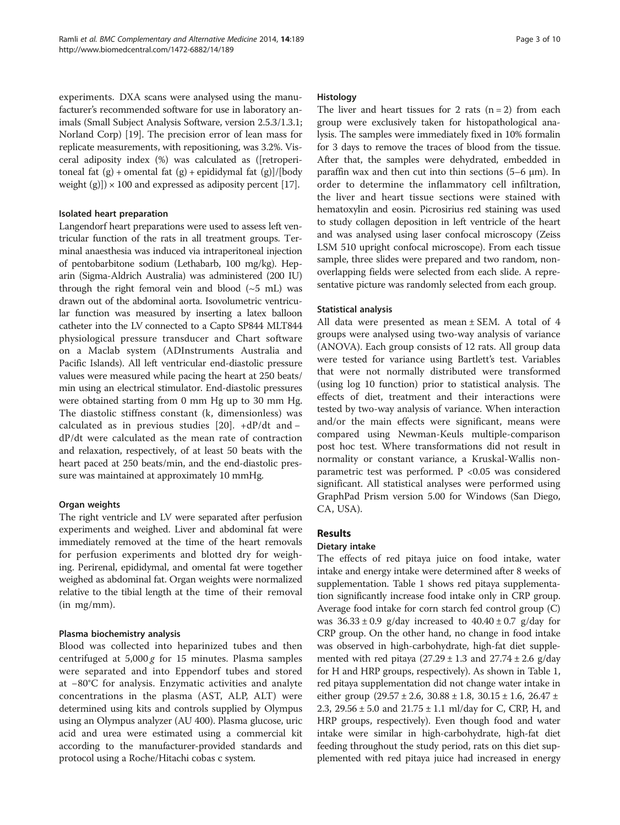experiments. DXA scans were analysed using the manufacturer's recommended software for use in laboratory animals (Small Subject Analysis Software, version 2.5.3/1.3.1; Norland Corp) [\[19](#page-8-0)]. The precision error of lean mass for replicate measurements, with repositioning, was 3.2%. Visceral adiposity index (%) was calculated as ([retroperitoneal fat  $(g)$  + omental fat  $(g)$  + epididymal fat  $(g)/[\text{body}]$ weight  $(g)$ ]) × 100 and expressed as adiposity percent [\[17\]](#page-8-0).

#### Isolated heart preparation

Langendorf heart preparations were used to assess left ventricular function of the rats in all treatment groups. Terminal anaesthesia was induced via intraperitoneal injection of pentobarbitone sodium (Lethabarb, 100 mg/kg). Heparin (Sigma-Aldrich Australia) was administered (200 IU) through the right femoral vein and blood  $({\sim}5$  mL) was drawn out of the abdominal aorta. Isovolumetric ventricular function was measured by inserting a latex balloon catheter into the LV connected to a Capto SP844 MLT844 physiological pressure transducer and Chart software on a Maclab system (ADInstruments Australia and Pacific Islands). All left ventricular end-diastolic pressure values were measured while pacing the heart at 250 beats/ min using an electrical stimulator. End-diastolic pressures were obtained starting from 0 mm Hg up to 30 mm Hg. The diastolic stiffness constant (k, dimensionless) was calculated as in previous studies [\[20](#page-8-0)]. +dP/dt and − dP/dt were calculated as the mean rate of contraction and relaxation, respectively, of at least 50 beats with the heart paced at 250 beats/min, and the end-diastolic pressure was maintained at approximately 10 mmHg.

# Organ weights

The right ventricle and LV were separated after perfusion experiments and weighed. Liver and abdominal fat were immediately removed at the time of the heart removals for perfusion experiments and blotted dry for weighing. Perirenal, epididymal, and omental fat were together weighed as abdominal fat. Organ weights were normalized relative to the tibial length at the time of their removal (in mg/mm).

# Plasma biochemistry analysis

Blood was collected into heparinized tubes and then centrifuged at  $5,000 g$  for 15 minutes. Plasma samples were separated and into Eppendorf tubes and stored at −80°C for analysis. Enzymatic activities and analyte concentrations in the plasma (AST, ALP, ALT) were determined using kits and controls supplied by Olympus using an Olympus analyzer (AU 400). Plasma glucose, uric acid and urea were estimated using a commercial kit according to the manufacturer-provided standards and protocol using a Roche/Hitachi cobas c system.

#### Histology

The liver and heart tissues for 2 rats  $(n = 2)$  from each group were exclusively taken for histopathological analysis. The samples were immediately fixed in 10% formalin for 3 days to remove the traces of blood from the tissue. After that, the samples were dehydrated, embedded in paraffin wax and then cut into thin sections (5–6 μm). In order to determine the inflammatory cell infiltration, the liver and heart tissue sections were stained with hematoxylin and eosin. Picrosirius red staining was used to study collagen deposition in left ventricle of the heart and was analysed using laser confocal microscopy (Zeiss LSM 510 upright confocal microscope). From each tissue sample, three slides were prepared and two random, nonoverlapping fields were selected from each slide. A representative picture was randomly selected from each group.

# Statistical analysis

All data were presented as mean ± SEM. A total of 4 groups were analysed using two-way analysis of variance (ANOVA). Each group consists of 12 rats. All group data were tested for variance using Bartlett's test. Variables that were not normally distributed were transformed (using log 10 function) prior to statistical analysis. The effects of diet, treatment and their interactions were tested by two-way analysis of variance. When interaction and/or the main effects were significant, means were compared using Newman-Keuls multiple-comparison post hoc test. Where transformations did not result in normality or constant variance, a Kruskal-Wallis nonparametric test was performed. P <0.05 was considered significant. All statistical analyses were performed using GraphPad Prism version 5.00 for Windows (San Diego, CA, USA).

# **Results**

# Dietary intake

The effects of red pitaya juice on food intake, water intake and energy intake were determined after 8 weeks of supplementation. Table [1](#page-3-0) shows red pitaya supplementation significantly increase food intake only in CRP group. Average food intake for corn starch fed control group (C) was  $36.33 \pm 0.9$  g/day increased to  $40.40 \pm 0.7$  g/day for CRP group. On the other hand, no change in food intake was observed in high-carbohydrate, high-fat diet supplemented with red pitaya  $(27.29 \pm 1.3 \text{ and } 27.74 \pm 2.6 \text{ g/day})$ for H and HRP groups, respectively). As shown in Table [1](#page-3-0), red pitaya supplementation did not change water intake in either group (29.57 ± 2.6, 30.88 ± 1.8, 30.15 ± 1.6, 26.47 ± 2.3, 29.56 ± 5.0 and 21.75 ± 1.1 ml/day for C, CRP, H, and HRP groups, respectively). Even though food and water intake were similar in high-carbohydrate, high-fat diet feeding throughout the study period, rats on this diet supplemented with red pitaya juice had increased in energy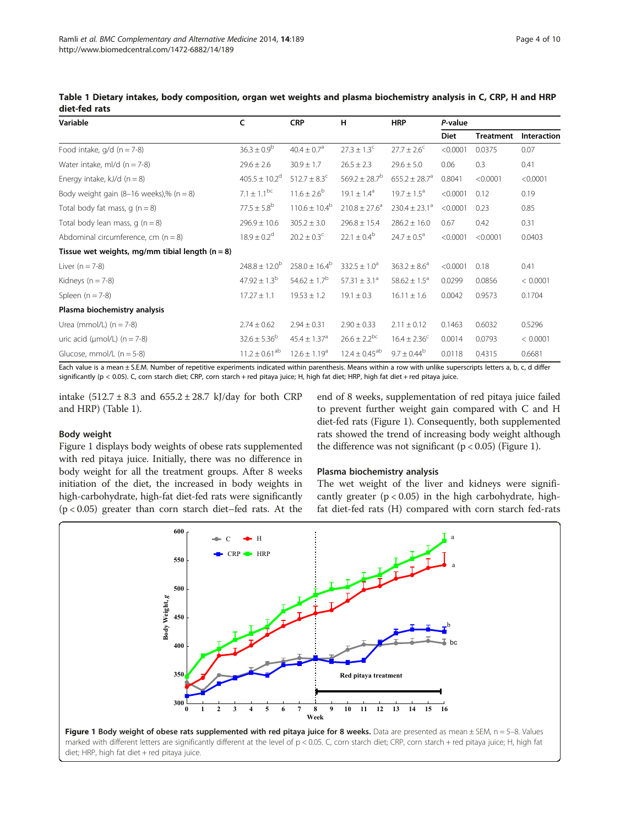| Variable                                          | c                             | <b>CRP</b>                   | н                        | <b>HRP</b>              | P-value     |                  |             |
|---------------------------------------------------|-------------------------------|------------------------------|--------------------------|-------------------------|-------------|------------------|-------------|
|                                                   |                               |                              |                          |                         | <b>Diet</b> | <b>Treatment</b> | Interaction |
| Food intake, $q/d$ (n = 7-8)                      | $36.3 \pm 0.9^b$              | $40.4 \pm 0.7$ <sup>a</sup>  | $27.3 \pm 1.3^c$         | $27.7 \pm 2.6^{\circ}$  | < 0.0001    | 0.0375           | 0.07        |
| Water intake, ml/d $(n = 7-8)$                    | $29.6 \pm 2.6$                | $30.9 \pm 1.7$               | $26.5 \pm 2.3$           | $29.6 \pm 5.0$          | 0.06        | 0.3              | 0.41        |
| Energy intake, $kJ/d$ (n = 8)                     | $405.5 \pm 10.2$ <sup>d</sup> | $512.7 \pm 8.3^{\circ}$      | $569.2 \pm 28.7^{\circ}$ | $655.2 \pm 28.7^a$      | 0.8041      | < 0.0001         | < 0.0001    |
| Body weight gain $(8-16$ weeks),% $(n = 8)$       | $7.1 \pm 1.1^{bc}$            | $11.6 \pm 2.6^{\circ}$       | $19.1 \pm 1.4^{\circ}$   | $19.7 \pm 1.5^{\circ}$  | < 0.0001    | 0.12             | 0.19        |
| Total body fat mass, $q(n=8)$                     | $77.5 \pm 5.8^{\circ}$        | $110.6 \pm 10.4^b$           | $210.8 \pm 27.6^a$       | $230.4 \pm 23.1^a$      | < 0.0001    | 0.23             | 0.85        |
| Total body lean mass, $q(n = 8)$                  | $296.9 \pm 10.6$              | $305.2 \pm 3.0$              | $296.8 \pm 15.4$         | $286.2 \pm 16.0$        | 0.67        | 0.42             | 0.31        |
| Abdominal circumference, cm $(n = 8)$             | $18.9 \pm 0.2$ <sup>d</sup>   | $20.2 \pm 0.3^{\circ}$       | $22.1 \pm 0.4^b$         | $24.7 \pm 0.5^{\circ}$  | < 0.0001    | < 0.0001         | 0.0403      |
| Tissue wet weights, mg/mm tibial length $(n = 8)$ |                               |                              |                          |                         |             |                  |             |
| Liver $(n = 7-8)$                                 | $248.8 \pm 12.0^b$            | $258.0 \pm 16.4^b$           | $332.5 \pm 1.0^a$        | $363.2 \pm 8.6^{\circ}$ | < 0.0001    | 0.18             | 0.41        |
| Kidneys ( $n = 7-8$ )                             | $47.92 \pm 1.3^{b}$           | $54.62 \pm 1.7^b$            | $57.31 \pm 3.1^a$        | $58.62 \pm 1.5^{\circ}$ | 0.0299      | 0.0856           | < 0.0001    |
| Spleen $(n = 7-8)$                                | $17.27 \pm 1.1$               | $19.53 \pm 1.2$              | $19.1 \pm 0.3$           | $16.11 \pm 1.6$         | 0.0042      | 0.9573           | 0.1704      |
| Plasma biochemistry analysis                      |                               |                              |                          |                         |             |                  |             |
| Urea (mmol/L) $(n = 7-8)$                         | $2.74 \pm 0.62$               | $2.94 \pm 0.31$              | $2.90 \pm 0.33$          | $2.11 \pm 0.12$         | 0.1463      | 0.6032           | 0.5296      |
| uric acid ( $\mu$ mol/L) ( $n = 7-8$ )            | $32.6 \pm 5.36^b$             | $45.4 \pm 1.37$ <sup>a</sup> | $26.6 \pm 2.2^{bc}$      | $16.4 \pm 2.36^c$       | 0.0014      | 0.0793           | < 0.0001    |
| Glucose, mmol/L $(n = 5-8)$                       | $11.2 \pm 0.61^{ab}$          | $12.6 \pm 1.19^a$            | $12.4 \pm 0.45^{ab}$     | $9.7 \pm 0.44^b$        | 0.0118      | 0.4315           | 0.6681      |

<span id="page-3-0"></span>Table 1 Dietary intakes, body composition, organ wet weights and plasma biochemistry analysis in C, CRP, H and HRP diet-fed rats

Each value is a mean ± S.E.M. Number of repetitive experiments indicated within parenthesis. Means within a row with unlike superscripts letters a, b, c, d differ significantly (p < 0.05). C, corn starch diet; CRP, corn starch + red pitaya juice; H, high fat diet; HRP, high fat diet + red pitaya juice.

intake  $(512.7 \pm 8.3 \text{ and } 655.2 \pm 28.7 \text{ kJ/day}$  for both CRP and HRP) (Table 1).

#### Body weight

Figure 1 displays body weights of obese rats supplemented with red pitaya juice. Initially, there was no difference in body weight for all the treatment groups. After 8 weeks initiation of the diet, the increased in body weights in high-carbohydrate, high-fat diet-fed rats were significantly (p < 0.05) greater than corn starch diet–fed rats. At the

end of 8 weeks, supplementation of red pitaya juice failed to prevent further weight gain compared with C and H diet-fed rats (Figure 1). Consequently, both supplemented rats showed the trend of increasing body weight although the difference was not significant ( $p < 0.05$ ) (Figure 1).

#### Plasma biochemistry analysis

The wet weight of the liver and kidneys were significantly greater  $(p < 0.05)$  in the high carbohydrate, highfat diet-fed rats (H) compared with corn starch fed-rats



diet; HRP, high fat diet + red pitaya juice.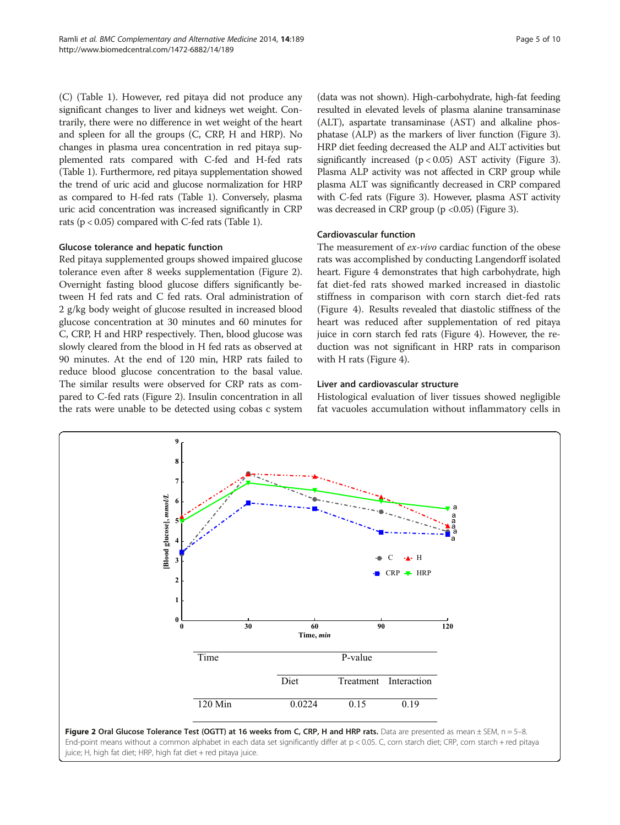(C) (Table [1\)](#page-3-0). However, red pitaya did not produce any significant changes to liver and kidneys wet weight. Contrarily, there were no difference in wet weight of the heart and spleen for all the groups (C, CRP, H and HRP). No changes in plasma urea concentration in red pitaya supplemented rats compared with C-fed and H-fed rats (Table [1](#page-3-0)). Furthermore, red pitaya supplementation showed the trend of uric acid and glucose normalization for HRP as compared to H-fed rats (Table [1](#page-3-0)). Conversely, plasma uric acid concentration was increased significantly in CRP rats ( $p < 0.05$ ) compared with C-fed rats (Table [1](#page-3-0)).

# Glucose tolerance and hepatic function

Red pitaya supplemented groups showed impaired glucose tolerance even after 8 weeks supplementation (Figure 2). Overnight fasting blood glucose differs significantly between H fed rats and C fed rats. Oral administration of 2 g/kg body weight of glucose resulted in increased blood glucose concentration at 30 minutes and 60 minutes for C, CRP, H and HRP respectively. Then, blood glucose was slowly cleared from the blood in H fed rats as observed at 90 minutes. At the end of 120 min, HRP rats failed to reduce blood glucose concentration to the basal value. The similar results were observed for CRP rats as compared to C-fed rats (Figure 2). Insulin concentration in all the rats were unable to be detected using cobas c system

(data was not shown). High-carbohydrate, high-fat feeding resulted in elevated levels of plasma alanine transaminase (ALT), aspartate transaminase (AST) and alkaline phosphatase (ALP) as the markers of liver function (Figure [3](#page-5-0)). HRP diet feeding decreased the ALP and ALT activities but significantly increased  $(p < 0.05)$  AST activity (Figure [3](#page-5-0)). Plasma ALP activity was not affected in CRP group while plasma ALT was significantly decreased in CRP compared with C-fed rats (Figure [3](#page-5-0)). However, plasma AST activity was decreased in CRP group ( $p < 0.05$ ) (Figure [3](#page-5-0)).

# Cardiovascular function

The measurement of ex-vivo cardiac function of the obese rats was accomplished by conducting Langendorff isolated heart. Figure [4](#page-5-0) demonstrates that high carbohydrate, high fat diet-fed rats showed marked increased in diastolic stiffness in comparison with corn starch diet-fed rats (Figure [4](#page-5-0)). Results revealed that diastolic stiffness of the heart was reduced after supplementation of red pitaya juice in corn starch fed rats (Figure [4\)](#page-5-0). However, the reduction was not significant in HRP rats in comparison with H rats (Figure [4](#page-5-0)).

# Liver and cardiovascular structure

Histological evaluation of liver tissues showed negligible fat vacuoles accumulation without inflammatory cells in



juice; H, high fat diet; HRP, high fat diet + red pitaya juice.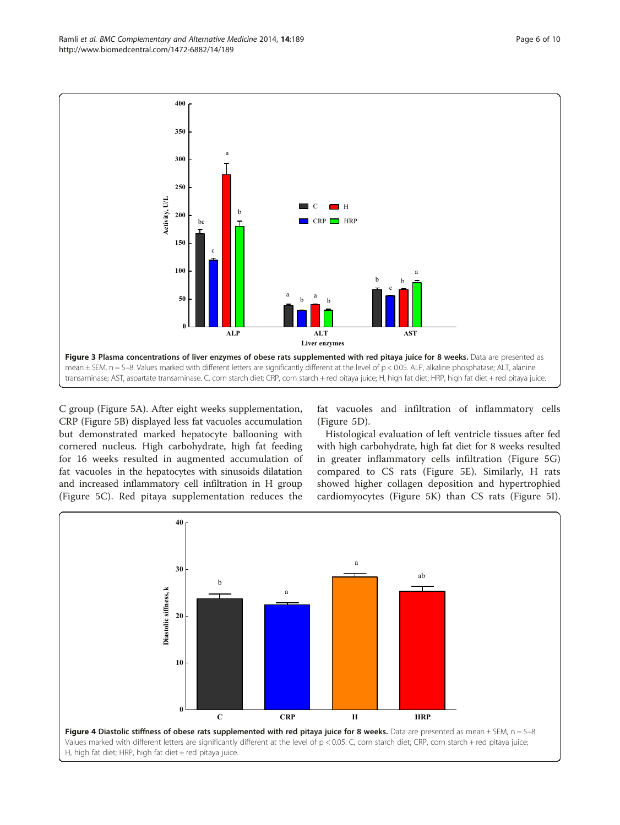<span id="page-5-0"></span>Ramli et al. BMC Complementary and Alternative Medicine 2014, 14:189 Page 6 of 10 http://www.biomedcentral.com/1472-6882/14/189



C group (Figure [5](#page-6-0)A). After eight weeks supplementation, CRP (Figure [5B](#page-6-0)) displayed less fat vacuoles accumulation but demonstrated marked hepatocyte ballooning with cornered nucleus. High carbohydrate, high fat feeding for 16 weeks resulted in augmented accumulation of fat vacuoles in the hepatocytes with sinusoids dilatation and increased inflammatory cell infiltration in H group (Figure [5C](#page-6-0)). Red pitaya supplementation reduces the fat vacuoles and infiltration of inflammatory cells (Figure [5](#page-6-0)D).

Histological evaluation of left ventricle tissues after fed with high carbohydrate, high fat diet for 8 weeks resulted in greater inflammatory cells infiltration (Figure [5](#page-6-0)G) compared to CS rats (Figure [5](#page-6-0)E). Similarly, H rats showed higher collagen deposition and hypertrophied cardiomyocytes (Figure [5K](#page-6-0)) than CS rats (Figure [5I](#page-6-0)).

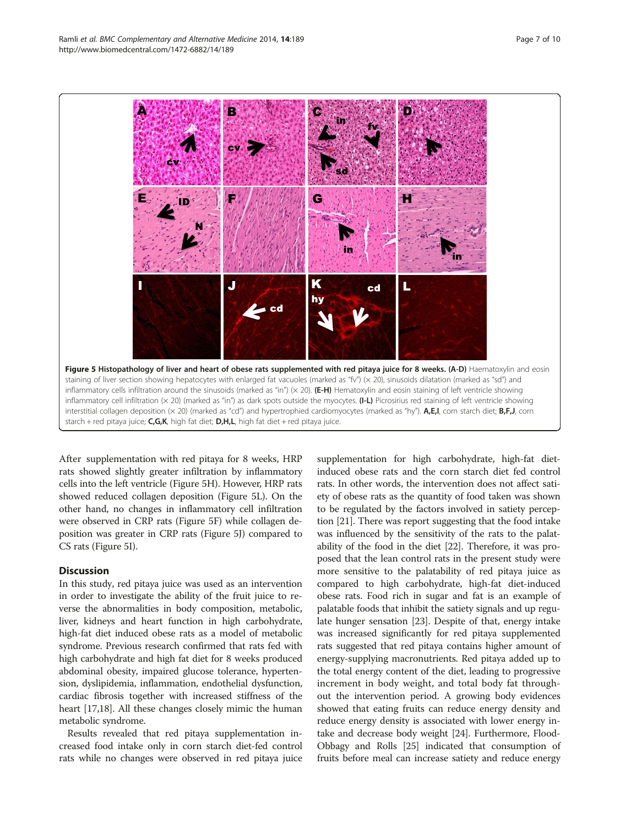<span id="page-6-0"></span>

After supplementation with red pitaya for 8 weeks, HRP rats showed slightly greater infiltration by inflammatory cells into the left ventricle (Figure 5H). However, HRP rats showed reduced collagen deposition (Figure 5L). On the other hand, no changes in inflammatory cell infiltration were observed in CRP rats (Figure 5F) while collagen deposition was greater in CRP rats (Figure 5J) compared to CS rats (Figure 5I).

## **Discussion**

In this study, red pitaya juice was used as an intervention in order to investigate the ability of the fruit juice to reverse the abnormalities in body composition, metabolic, liver, kidneys and heart function in high carbohydrate, high-fat diet induced obese rats as a model of metabolic syndrome. Previous research confirmed that rats fed with high carbohydrate and high fat diet for 8 weeks produced abdominal obesity, impaired glucose tolerance, hypertension, dyslipidemia, inflammation, endothelial dysfunction, cardiac fibrosis together with increased stiffness of the heart [[17,18\]](#page-8-0). All these changes closely mimic the human metabolic syndrome.

Results revealed that red pitaya supplementation increased food intake only in corn starch diet-fed control rats while no changes were observed in red pitaya juice

supplementation for high carbohydrate, high-fat dietinduced obese rats and the corn starch diet fed control rats. In other words, the intervention does not affect satiety of obese rats as the quantity of food taken was shown to be regulated by the factors involved in satiety perception [\[21](#page-8-0)]. There was report suggesting that the food intake was influenced by the sensitivity of the rats to the palatability of the food in the diet [\[22](#page-8-0)]. Therefore, it was proposed that the lean control rats in the present study were more sensitive to the palatability of red pitaya juice as compared to high carbohydrate, high-fat diet-induced obese rats. Food rich in sugar and fat is an example of palatable foods that inhibit the satiety signals and up regulate hunger sensation [[23](#page-8-0)]. Despite of that, energy intake was increased significantly for red pitaya supplemented rats suggested that red pitaya contains higher amount of energy-supplying macronutrients. Red pitaya added up to the total energy content of the diet, leading to progressive increment in body weight, and total body fat throughout the intervention period. A growing body evidences showed that eating fruits can reduce energy density and reduce energy density is associated with lower energy intake and decrease body weight [\[24\]](#page-8-0). Furthermore, Flood-Obbagy and Rolls [\[25\]](#page-8-0) indicated that consumption of fruits before meal can increase satiety and reduce energy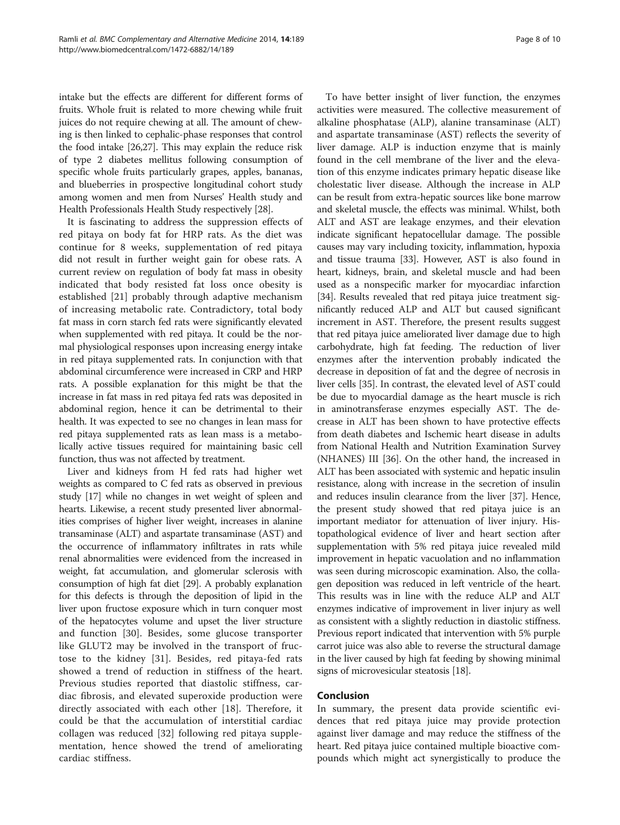intake but the effects are different for different forms of fruits. Whole fruit is related to more chewing while fruit juices do not require chewing at all. The amount of chewing is then linked to cephalic-phase responses that control the food intake [\[26,27\]](#page-8-0). This may explain the reduce risk of type 2 diabetes mellitus following consumption of specific whole fruits particularly grapes, apples, bananas, and blueberries in prospective longitudinal cohort study among women and men from Nurses' Health study and Health Professionals Health Study respectively [[28](#page-8-0)].

It is fascinating to address the suppression effects of red pitaya on body fat for HRP rats. As the diet was continue for 8 weeks, supplementation of red pitaya did not result in further weight gain for obese rats. A current review on regulation of body fat mass in obesity indicated that body resisted fat loss once obesity is established [[21\]](#page-8-0) probably through adaptive mechanism of increasing metabolic rate. Contradictory, total body fat mass in corn starch fed rats were significantly elevated when supplemented with red pitaya. It could be the normal physiological responses upon increasing energy intake in red pitaya supplemented rats. In conjunction with that abdominal circumference were increased in CRP and HRP rats. A possible explanation for this might be that the increase in fat mass in red pitaya fed rats was deposited in abdominal region, hence it can be detrimental to their health. It was expected to see no changes in lean mass for red pitaya supplemented rats as lean mass is a metabolically active tissues required for maintaining basic cell function, thus was not affected by treatment.

Liver and kidneys from H fed rats had higher wet weights as compared to C fed rats as observed in previous study [[17](#page-8-0)] while no changes in wet weight of spleen and hearts. Likewise, a recent study presented liver abnormalities comprises of higher liver weight, increases in alanine transaminase (ALT) and aspartate transaminase (AST) and the occurrence of inflammatory infiltrates in rats while renal abnormalities were evidenced from the increased in weight, fat accumulation, and glomerular sclerosis with consumption of high fat diet [[29](#page-8-0)]. A probably explanation for this defects is through the deposition of lipid in the liver upon fructose exposure which in turn conquer most of the hepatocytes volume and upset the liver structure and function [[30](#page-8-0)]. Besides, some glucose transporter like GLUT2 may be involved in the transport of fructose to the kidney [[31\]](#page-8-0). Besides, red pitaya-fed rats showed a trend of reduction in stiffness of the heart. Previous studies reported that diastolic stiffness, cardiac fibrosis, and elevated superoxide production were directly associated with each other [\[18](#page-8-0)]. Therefore, it could be that the accumulation of interstitial cardiac collagen was reduced [\[32](#page-8-0)] following red pitaya supplementation, hence showed the trend of ameliorating cardiac stiffness.

To have better insight of liver function, the enzymes activities were measured. The collective measurement of alkaline phosphatase (ALP), alanine transaminase (ALT) and aspartate transaminase (AST) reflects the severity of liver damage. ALP is induction enzyme that is mainly found in the cell membrane of the liver and the elevation of this enzyme indicates primary hepatic disease like cholestatic liver disease. Although the increase in ALP can be result from extra-hepatic sources like bone marrow and skeletal muscle, the effects was minimal. Whilst, both ALT and AST are leakage enzymes, and their elevation indicate significant hepatocellular damage. The possible causes may vary including toxicity, inflammation, hypoxia and tissue trauma [\[33](#page-8-0)]. However, AST is also found in heart, kidneys, brain, and skeletal muscle and had been used as a nonspecific marker for myocardiac infarction [[34](#page-8-0)]. Results revealed that red pitaya juice treatment significantly reduced ALP and ALT but caused significant increment in AST. Therefore, the present results suggest that red pitaya juice ameliorated liver damage due to high carbohydrate, high fat feeding. The reduction of liver enzymes after the intervention probably indicated the decrease in deposition of fat and the degree of necrosis in liver cells [[35\]](#page-9-0). In contrast, the elevated level of AST could be due to myocardial damage as the heart muscle is rich in aminotransferase enzymes especially AST. The decrease in ALT has been shown to have protective effects from death diabetes and Ischemic heart disease in adults from National Health and Nutrition Examination Survey (NHANES) III [[36](#page-9-0)]. On the other hand, the increased in ALT has been associated with systemic and hepatic insulin resistance, along with increase in the secretion of insulin and reduces insulin clearance from the liver [\[37\]](#page-9-0). Hence, the present study showed that red pitaya juice is an important mediator for attenuation of liver injury. Histopathological evidence of liver and heart section after supplementation with 5% red pitaya juice revealed mild improvement in hepatic vacuolation and no inflammation was seen during microscopic examination. Also, the collagen deposition was reduced in left ventricle of the heart. This results was in line with the reduce ALP and ALT enzymes indicative of improvement in liver injury as well as consistent with a slightly reduction in diastolic stiffness. Previous report indicated that intervention with 5% purple carrot juice was also able to reverse the structural damage in the liver caused by high fat feeding by showing minimal signs of microvesicular steatosis [[18](#page-8-0)].

# Conclusion

In summary, the present data provide scientific evidences that red pitaya juice may provide protection against liver damage and may reduce the stiffness of the heart. Red pitaya juice contained multiple bioactive compounds which might act synergistically to produce the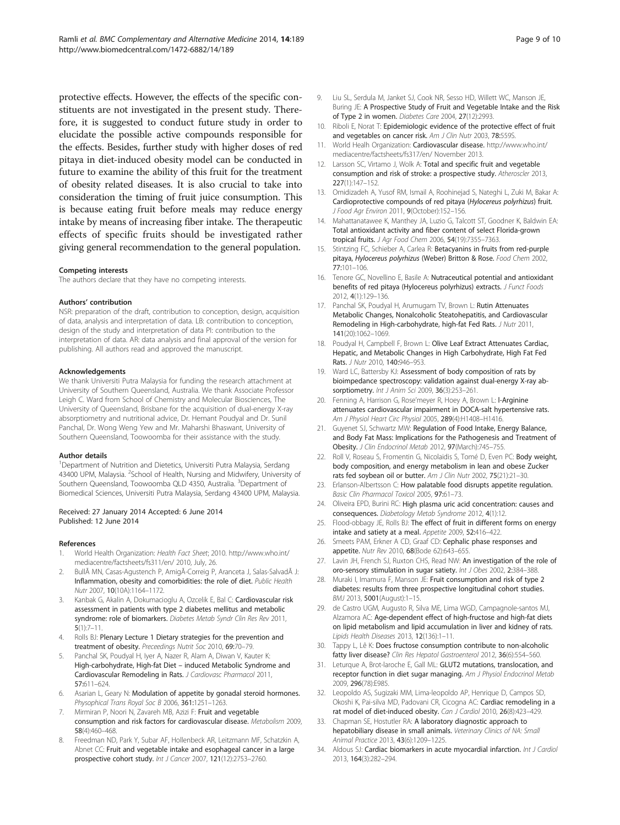<span id="page-8-0"></span>protective effects. However, the effects of the specific constituents are not investigated in the present study. Therefore, it is suggested to conduct future study in order to elucidate the possible active compounds responsible for the effects. Besides, further study with higher doses of red pitaya in diet-induced obesity model can be conducted in future to examine the ability of this fruit for the treatment of obesity related diseases. It is also crucial to take into consideration the timing of fruit juice consumption. This is because eating fruit before meals may reduce energy intake by means of increasing fiber intake. The therapeutic effects of specific fruits should be investigated rather giving general recommendation to the general population.

#### Competing interests

The authors declare that they have no competing interests.

#### Authors' contribution

NSR: preparation of the draft, contribution to conception, design, acquisition of data, analysis and interpretation of data. LB: contribution to conception, design of the study and interpretation of data PI: contribution to the interpretation of data. AR: data analysis and final approval of the version for publishing. All authors read and approved the manuscript.

#### Acknowledgements

We thank Universiti Putra Malaysia for funding the research attachment at University of Southern Queensland, Australia. We thank Associate Professor Leigh C. Ward from School of Chemistry and Molecular Biosciences, The University of Queensland, Brisbane for the acquisition of dual-energy X-ray absorptiometry and nutritional advice, Dr. Hemant Poudyal and Dr. Sunil Panchal, Dr. Wong Weng Yew and Mr. Maharshi Bhaswant, University of Southern Queensland, Toowoomba for their assistance with the study.

#### Author details

<sup>1</sup>Department of Nutrition and Dietetics, Universiti Putra Malaysia, Serdang 43400 UPM, Malaysia. <sup>2</sup>School of Health, Nursing and Midwifery, University of Southern Queensland, Toowoomba QLD 4350, Australia. <sup>3</sup>Department of Biomedical Sciences, Universiti Putra Malaysia, Serdang 43400 UPM, Malaysia.

#### Received: 27 January 2014 Accepted: 6 June 2014 Published: 12 June 2014

#### References

- 1. World Health Organization: Health Fact Sheet; 2010. [http://www.who.int/](http://www.who.int/mediacentre/factsheets/fs311/en/) [mediacentre/factsheets/fs311/en/](http://www.who.int/mediacentre/factsheets/fs311/en/) 2010, July, 26.
- 2. Bullà MN, Casas-Agustench P, AmigÃ-Correig P, Aranceta J, Salas-Salvadà J: Inflammation, obesity and comorbidities: the role of diet. Public Health Nutr 2007, 10(10A):1164–1172.
- Kanbak G, Akalin A, Dokumacioglu A, Ozcelik E, Bal C: Cardiovascular risk assessment in patients with type 2 diabetes mellitus and metabolic syndrome: role of biomarkers. Diabetes Metab Syndr Clin Res Rev 2011,  $5(1):7-11.$
- 4. Rolls BJ: Plenary Lecture 1 Dietary strategies for the prevention and treatment of obesity. Preceedings Nutrit Soc 2010, 69:70–79.
- Panchal SK, Poudyal H, Iyer A, Nazer R, Alam A, Diwan V, Kauter K: High-carbohydrate, High-fat Diet – induced Metabolic Syndrome and Cardiovascular Remodeling in Rats. J Cardiovasc Pharmacol 2011, 57:611–624.
- 6. Asarian L, Geary N: Modulation of appetite by gonadal steroid hormones. Physophical Trans Royal Soc B 2006, 361:1251-1263.
- Mirmiran P, Noori N, Zavareh MB, Azizi F: Fruit and vegetable consumption and risk factors for cardiovascular disease. Metabolism 2009, 58(4):460–468.
- 8. Freedman ND, Park Y, Subar AF, Hollenbeck AR, Leitzmann MF, Schatzkin A, Abnet CC: Fruit and vegetable intake and esophageal cancer in a large prospective cohort study. Int J Cancer 2007, 121(12):2753–2760.
- 9. Liu SL, Serdula M, Janket SJ, Cook NR, Sesso HD, Willett WC, Manson JE, Buring JE: A Prospective Study of Fruit and Vegetable Intake and the Risk of Type 2 in women. Diabetes Care 2004, 27(12):2993.
- 10. Riboli E, Norat T: Epidemiologic evidence of the protective effect of fruit and vegetables on cancer risk. Am J Clin Nutr 2003, 78:5595.
- 11. World Healh Organization: Cardiovascular disease. [http://www.who.int/](http://www.who.int/mediacentre/factsheets/fs317/en/) [mediacentre/factsheets/fs317/en/](http://www.who.int/mediacentre/factsheets/fs317/en/) November 2013.
- 12. Larsson SC, Virtamo J, Wolk A: Total and specific fruit and vegetable consumption and risk of stroke: a prospective study. Atheroscler 2013, 227(1):147–152.
- 13. Omidizadeh A, Yusof RM, Ismail A, Roohinejad S, Nateghi L, Zuki M, Bakar A: Cardioprotective compounds of red pitaya (Hylocereus polyrhizus) fruit. J Food Agr Environ 2011, 9(October):152–156.
- 14. Mahattanatawee K, Manthey JA, Luzio G, Talcott ST, Goodner K, Baldwin EA: Total antioxidant activity and fiber content of select Florida-grown tropical fruits. J Agr Food Chem 2006, 54(19):7355–7363.
- 15. Stintzing FC, Schieber A, Carlea R: Betacyanins in fruits from red-purple pitaya, Hylocereus polyrhizus (Weber) Britton & Rose. Food Chem 2002, 77:101–106.
- 16. Tenore GC, Novellino E, Basile A: Nutraceutical potential and antioxidant benefits of red pitaya (Hylocereus polyrhizus) extracts. J Funct Foods 2012, 4(1):129–136.
- 17. Panchal SK, Poudyal H, Arumugam TV, Brown L: Rutin Attenuates Metabolic Changes, Nonalcoholic Steatohepatitis, and Cardiovascular Remodeling in High-carbohydrate, high-fat Fed Rats. J Nutr 2011, 141(20):1062–1069.
- 18. Poudyal H, Campbell F, Brown L: Olive Leaf Extract Attenuates Cardiac, Hepatic, and Metabolic Changes in High Carbohydrate, High Fat Fed Rats. J Nutr 2010, 140:946–953.
- 19. Ward LC, Battersby KJ: Assessment of body composition of rats by bioimpedance spectroscopy: validation against dual-energy X-ray absorptiometry. Int J Anim Sci 2009, 36(3):253-261.
- 20. Fenning A, Harrison G, Rose'meyer R, Hoey A, Brown L: I-Arginine attenuates cardiovascular impairment in DOCA-salt hypertensive rats. Am J Physiol Heart Circ Physiol 2005, 289(4):H1408–H1416.
- 21. Guyenet SJ, Schwartz MW: Regulation of Food Intake, Energy Balance, and Body Fat Mass: Implications for the Pathogenesis and Treatment of Obesity. J Clin Endocrinol Metab 2012, 97(March):745–755.
- 22. Roll V, Roseau S, Fromentin G, Nicolaidis S, Tomé D, Even PC: Body weight, body composition, and energy metabolism in lean and obese Zucker rats fed soybean oil or butter. Am J Clin Nutr 2002, 75(21):21–30.
- 23. Erlanson-Albertsson C: How palatable food disrupts appetite regulation. Basic Clin Pharmacol Toxicol 2005, 97:61-73.
- 24. Oliveira EPD, Burini RC: High plasma uric acid concentration: causes and consequences. Diabetology Metab Syndrome 2012, 4(1):12.
- 25. Flood-obbagy JE, Rolls BJ: The effect of fruit in different forms on energy intake and satiety at a meal. Appetite 2009, 52:416–422.
- 26. Smeets PAM, Erkner A CD, Graaf CD: Cephalic phase responses and appetite. Nutr Rev 2010, 68(Bode 62):643–655.
- 27. Lavin JH, French SJ, Ruxton CHS, Read NW: An investigation of the role of oro-sensory stimulation in sugar satiety. Int J Obes 2002, 2:384–388.
- 28. Muraki I, Imamura F, Manson JE: Fruit consumption and risk of type 2 diabetes: results from three prospective longitudinal cohort studies. BMJ 2013, 5001(August):1–15.
- 29. de Castro UGM, Augusto R, Silva ME, Lima WGD, Campagnole-santos MJ, Alzamora AC: Age-dependent effect of high-fructose and high-fat diets on lipid metabolism and lipid accumulation in liver and kidney of rats. Lipids Health Diseases 2013, 12(136):1–11.
- 30. Tappy L, Lê K: Does fructose consumption contribute to non-alcoholic fatty liver disease? Clin Res Hepatol Gastroenterol 2012, 36(6):554-560.
- 31. Leturque A, Brot-laroche E, Gall ML: GLUT2 mutations, translocation, and receptor function in diet sugar managing. Am J Physiol Endocrinol Metab 2009, 296(78):E985.
- 32. Leopoldo AS, Sugizaki MM, Lima-leopoldo AP, Henrique D, Campos SD, Okoshi K, Pai-silva MD, Padovani CR, Cicogna AC: Cardiac remodeling in a rat model of diet-induced obesity. Can J Cardiol 2010, 26(8):423–429.
- 33. Chapman SE, Hostutler RA: A laboratory diagnostic approach to hepatobiliary disease in small animals. Veterinary Clinics of NA: Small Animal Practice 2013, 43(6):1209–1225.
- 34. Aldous SJ: Cardiac biomarkers in acute myocardial infarction. Int J Cardiol 2013, 164(3):282–294.